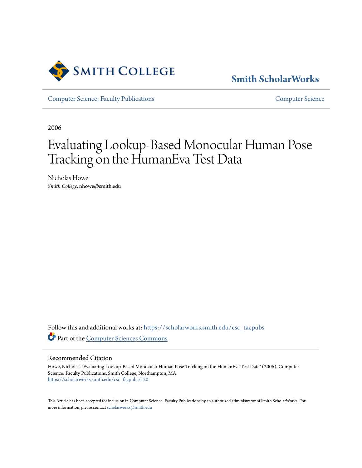

# **[Smith ScholarWorks](https://scholarworks.smith.edu/?utm_source=scholarworks.smith.edu%2Fcsc_facpubs%2F120&utm_medium=PDF&utm_campaign=PDFCoverPages)**

[Computer Science: Faculty Publications](https://scholarworks.smith.edu/csc_facpubs?utm_source=scholarworks.smith.edu%2Fcsc_facpubs%2F120&utm_medium=PDF&utm_campaign=PDFCoverPages) [Computer Science](https://scholarworks.smith.edu/csc?utm_source=scholarworks.smith.edu%2Fcsc_facpubs%2F120&utm_medium=PDF&utm_campaign=PDFCoverPages)

2006

# Evaluating Lookup-Based Monocular Human Pose Tracking on the HumanEva Test Data

Nicholas Howe *Smith College*, nhowe@smith.edu

Follow this and additional works at: [https://scholarworks.smith.edu/csc\\_facpubs](https://scholarworks.smith.edu/csc_facpubs?utm_source=scholarworks.smith.edu%2Fcsc_facpubs%2F120&utm_medium=PDF&utm_campaign=PDFCoverPages) Part of the [Computer Sciences Commons](http://network.bepress.com/hgg/discipline/142?utm_source=scholarworks.smith.edu%2Fcsc_facpubs%2F120&utm_medium=PDF&utm_campaign=PDFCoverPages)

## Recommended Citation

Howe, Nicholas, "Evaluating Lookup-Based Monocular Human Pose Tracking on the HumanEva Test Data" (2006). Computer Science: Faculty Publications, Smith College, Northampton, MA. [https://scholarworks.smith.edu/csc\\_facpubs/120](https://scholarworks.smith.edu/csc_facpubs/120?utm_source=scholarworks.smith.edu%2Fcsc_facpubs%2F120&utm_medium=PDF&utm_campaign=PDFCoverPages)

This Article has been accepted for inclusion in Computer Science: Faculty Publications by an authorized administrator of Smith ScholarWorks. For more information, please contact [scholarworks@smith.edu](mailto:scholarworks@smith.edu)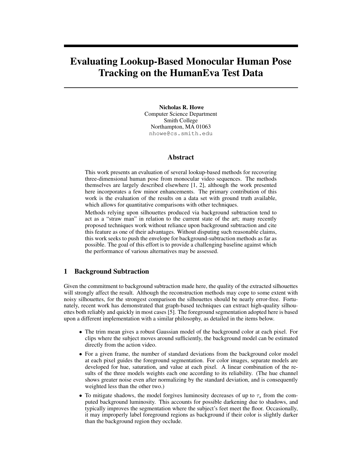# Evaluating Lookup-Based Monocular Human Pose Tracking on the HumanEva Test Data

Nicholas R. Howe Computer Science Department Smith College Northampton, MA 01063 nhowe@cs.smith.edu

#### Abstract

This work presents an evaluation of several lookup-based methods for recovering three-dimensional human pose from monocular video sequences. The methods themselves are largely described elsewhere [1, 2], although the work presented here incorporates a few minor enhancements. The primary contribution of this work is the evaluation of the results on a data set with ground truth available, which allows for quantitative comparisons with other techniques.

Methods relying upon silhouettes produced via background subtraction tend to act as a "straw man" in relation to the current state of the art; many recently proposed techniques work without reliance upon background subtraction and cite this feature as one of their advantages. Without disputing such reasonable claims, this work seeks to push the envelope for background-subtraction methods as far as possible. The goal of this effort is to provide a challenging baseline against which the performance of various alternatives may be assessed.

### 1 Background Subtraction

Given the commitment to background subtraction made here, the quality of the extracted silhouettes will strongly affect the result. Although the reconstruction methods may cope to some extent with noisy silhouettes, for the strongest comparison the silhouettes should be nearly error-free. Fortunately, recent work has demonstrated that graph-based techniques can extract high-quality silhouettes both reliably and quickly in most cases [5]. The foreground segmentation adopted here is based upon a different implementation with a similar philosophy, as detailed in the items below.

- The trim mean gives a robust Gaussian model of the background color at each pixel. For clips where the subject moves around sufficiently, the background model can be estimated directly from the action video.
- For a given frame, the number of standard deviations from the background color model at each pixel guides the foreground segmentation. For color images, separate models are developed for hue, saturation, and value at each pixel. A linear combination of the results of the three models weights each one according to its reliability. (The hue channel shows greater noise even after normalizing by the standard deviation, and is consequently weighted less than the other two.)
- To mitigate shadows, the model forgives luminosity decreases of up to  $\tau_s$  from the computed background luminosity. This accounts for possible darkening due to shadows, and typically improves the segmentation where the subject's feet meet the floor. Occasionally, it may improperly label foreground regions as background if their color is slightly darker than the background region they occlude.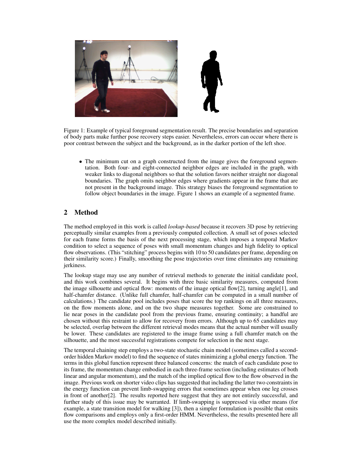

Figure 1: Example of typical foreground segmentation result. The precise boundaries and separation of body parts make further pose recovery steps easier. Nevertheless, errors can occur where there is poor contrast between the subject and the background, as in the darker portion of the left shoe.

• The minimum cut on a graph constructed from the image gives the foreground segmentation. Both four- and eight-connected neighbor edges are included in the graph, with weaker links to diagonal neighbors so that the solution favors neither straight nor diagonal boundaries. The graph omits neighbor edges where gradients appear in the frame that are not present in the background image. This strategy biases the foreground segmentation to follow object boundaries in the image. Figure 1 shows an example of a segmented frame.

# 2 Method

The method employed in this work is called *lookup-based* because it recovers 3D pose by retrieving perceptually similar examples from a previously computed collection. A small set of poses selected for each frame forms the basis of the next processing stage, which imposes a temporal Markov condition to select a sequence of poses with small momentum changes and high fidelity to optical flow observations. (This "stitching" process begins with 10 to 50 candidates per frame, depending on their similarity score.) Finally, smoothing the pose trajectories over time eliminates any remaining jerkiness.

The lookup stage may use any number of retrieval methods to generate the initial candidate pool, and this work combines several. It begins with three basic similarity measures, computed from the image silhouette and optical flow: moments of the image optical flow[2], turning angle[1], and half-chamfer distance. (Unlike full chamfer, half-chamfer can be computed in a small number of calculations.) The candidate pool includes poses that score the top rankings on all three measures, on the flow moments alone, and on the two shape measures together. Some are constrained to lie near poses in the candidate pool from the previous frame, ensuring continuity; a handful are chosen without this restraint to allow for recovery from errors. Although up to 65 candidates may be selected, overlap between the different retrieval modes means that the actual number will usually be lower. These candidates are registered to the image frame using a full chamfer match on the silhouette, and the most successful registrations compete for selection in the next stage.

The temporal chaining step employs a two-state stochastic chain model (sometimes called a secondorder hidden Markov model) to find the sequence of states minimizing a global energy function. The terms in this global function represent three balanced concerns: the match of each candidate pose to its frame, the momentum change embodied in each three-frame section (including estimates of both linear and angular momentum), and the match of the implied optical flow to the flow observed in the image. Previous work on shorter video clips has suggested that including the latter two constraints in the energy function can prevent limb-swapping errors that sometimes appear when one leg crosses in front of another[2]. The results reported here suggest that they are not entirely successful, and further study of this issue may be warranted. If limb-swapping is suppressed via other means (for example, a state transition model for walking [3]), then a simpler formulation is possible that omits flow comparisons and employs only a first-order HMM. Nevertheless, the results presented here all use the more complex model described initially.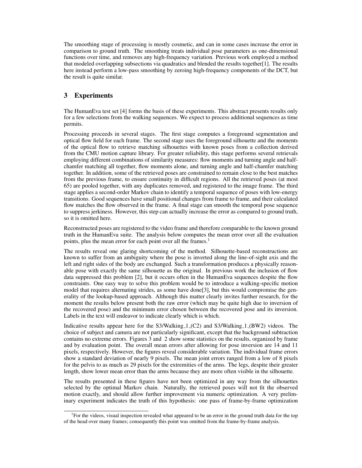The smoothing stage of processing is mostly cosmetic, and can in some cases increase the error in comparison to ground truth. The smoothing treats individual pose parameters as one-dimensional functions over time, and removes any high-frequency variation. Previous work employed a method that modeled overlapping subsections via quadratics and blended the results together[1]. The results here instead perform a low-pass smoothing by zeroing high-frequency components of the DCT, but the result is quite similar.

# 3 Experiments

The HumanEva test set [4] forms the basis of these experiments. This abstract presents results only for a few selections from the walking sequences. We expect to process additional sequences as time permits.

Processing proceeds in several stages. The first stage computes a foreground segmentation and optical flow field for each frame. The second stage uses the foreground silhouette and the moments of the optical flow to retrieve matching silhouettes with known poses from a collection derived from the CMU motion capture library. For greater reliability, this stage performs several retrievals employing different combinations of similarity measures: flow moments and turning angle and halfchamfer matching all together, flow moments alone, and turning angle and half-chamfer matching together. In addition, some of the retrieved poses are constrained to remain close to the best matches from the previous frame, to ensure continuity in difficult regions. All the retrieved poses (at most 65) are pooled together, with any duplicates removed, and registered to the image frame. The third stage applies a second-order Markov chain to identify a temporal sequence of poses with low-energy transitions. Good sequences have small positional changes from frame to frame, and their calculated flow matches the flow observed in the frame. A final stage can smooth the temporal pose sequence to suppress jerkiness. However, this step can actually increase the error as compared to ground truth, so it is omitted here.

Reconstructed poses are registered to the video frame and therefore comparable to the known ground truth in the HumanEva suite. The analysis below computes the mean error over all the evaluation points, plus the mean error for each point over all the frames.<sup>1</sup>

The results reveal one glaring shortcoming of the method. Silhouette-based reconstructions are known to suffer from an ambiguity where the pose is inverted along the line-of-sight axis and the left and right sides of the body are exchanged. Such a transformation produces a physically reasonable pose with exactly the same silhouette as the original. In previous work the inclusion of flow data suppressed this problem [2], but it occurs often in the HumanEva sequences despite the flow constraints. One easy way to solve this problem would be to introduce a walking-specific motion model that requires alternating strides, as some have done[3], but this would compromise the generality of the lookup-based approach. Although this matter clearly invites further research, for the moment the results below present both the raw error (which may be quite high due to inversion of the recovered pose) and the minimum error chosen between the recovered pose and its inversion. Labels in the text will endeavor to indicate clearly which is which.

Indicative results appear here for the  $S_3/W_3$ alking  $1 (C_2)$  and  $S_3/W_3$ alking  $1 (BW_2)$  videos. The choice of subject and camera are not particularly significant, except that the background subtraction contains no extreme errors. Figures 3 and 2 show some statistics on the results, organized by frame and by evaluation point. The overall mean errors after allowing for pose inversion are 14 and 11 pixels, respectively. However, the figures reveal considerable variation. The individual frame errors show a standard deviation of nearly 9 pixels. The mean joint errors ranged from a low of 8 pixels for the pelvis to as much as 29 pixels for the extremities of the arms. The legs, despite their greater length, show lower mean error than the arms because they are more often visible in the silhouette.

The results presented in these figures have not been optimized in any way from the silhouettes selected by the optimal Markov chain. Naturally, the retrieved poses will not fit the observed motion exactly, and should allow further improvement via numeric optimization. A very preliminary experiment indicates the truth of this hypothesis: one pass of frame-by-frame optimization

<sup>&</sup>lt;sup>1</sup>For the videos, visual inspection revealed what appeared to be an error in the ground truth data for the top of the head over many frames; consequently this point was omitted from the frame-by-frame analysis.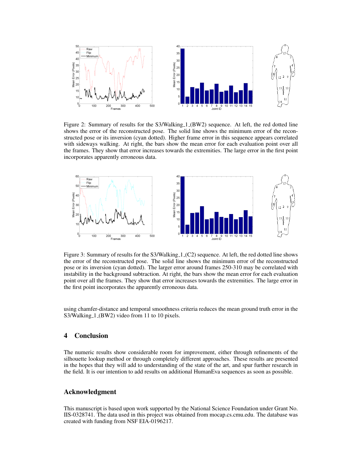

Figure 2: Summary of results for the S3/Walking 1 (BW2) sequence. At left, the red dotted line shows the error of the reconstructed pose. The solid line shows the minimum error of the reconstructed pose or its inversion (cyan dotted). Higher frame error in this sequence appears correlated with sideways walking. At right, the bars show the mean error for each evaluation point over all the frames. They show that error increases towards the extremities. The large error in the first point incorporates apparently erroneous data.



Figure 3: Summary of results for the S3/Walking 1 (C2) sequence. At left, the red dotted line shows the error of the reconstructed pose. The solid line shows the minimum error of the reconstructed pose or its inversion (cyan dotted). The larger error around frames 250-310 may be correlated with instability in the background subtraction. At right, the bars show the mean error for each evaluation point over all the frames. They show that error increases towards the extremities. The large error in the first point incorporates the apparently erroneous data.

using chamfer-distance and temporal smoothness criteria reduces the mean ground truth error in the S3/Walking<sub>-1</sub> (BW2) video from 11 to 10 pixels.

# 4 Conclusion

The numeric results show considerable room for improvement, either through refinements of the silhouette lookup method or through completely different approaches. These results are presented in the hopes that they will add to understanding of the state of the art, and spur further research in the field. It is our intention to add results on additional HumanEva sequences as soon as possible.

#### Acknowledgment

This manuscript is based upon work supported by the National Science Foundation under Grant No. IIS-0328741. The data used in this project was obtained from mocap.cs.cmu.edu. The database was created with funding from NSF EIA-0196217.